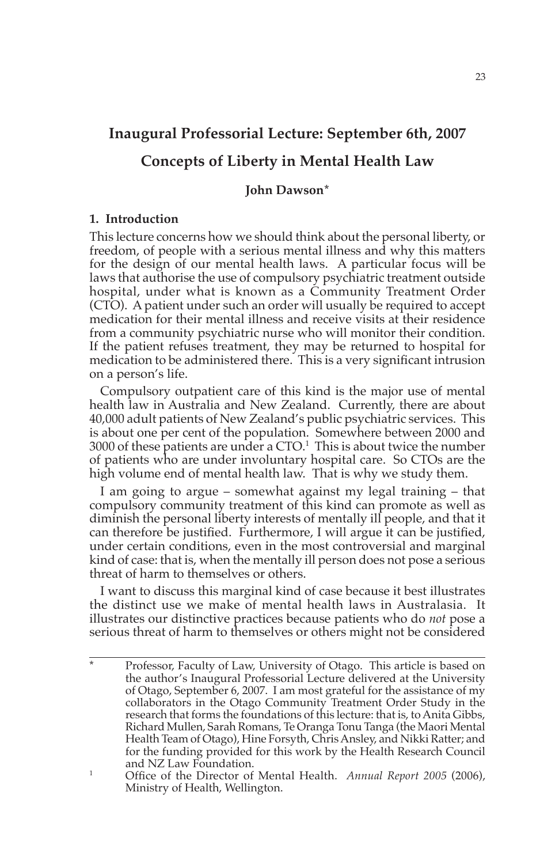# **Inaugural Professorial Lecture: September 6th, 2007**

# **Concepts of Liberty in Mental Health Law**

# **John Dawson\***

# **1. Introduction**

This lecture concerns how we should think about the personal liberty, or freedom, of people with a serious mental illness and why this matters for the design of our mental health laws. A particular focus will be laws that authorise the use of compulsory psychiatric treatment outside hospital, under what is known as a Community Treatment Order (CTO). A patient under such an order will usually be required to accept medication for their mental illness and receive visits at their residence from a community psychiatric nurse who will monitor their condition. If the patient refuses treatment, they may be returned to hospital for medication to be administered there. This is a very significant intrusion on a person's life.

Compulsory outpatient care of this kind is the major use of mental health law in Australia and New Zealand. Currently, there are about 40,000 adult patients of New Zealand's public psychiatric services. This is about one per cent of the population. Somewhere between 2000 and  $3000$  of these patients are under a CTO. $^1$  This is about twice the number of patients who are under involuntary hospital care. So CTOs are the high volume end of mental health law. That is why we study them.

I am going to argue – somewhat against my legal training – that compulsory community treatment of this kind can promote as well as diminish the personal liberty interests of mentally ill people, and that it can therefore be justified. Furthermore, I will argue it can be justified, under certain conditions, even in the most controversial and marginal kind of case: that is, when the mentally ill person does not pose a serious threat of harm to themselves or others.

I want to discuss this marginal kind of case because it best illustrates the distinct use we make of mental health laws in Australasia. It illustrates our distinctive practices because patients who do *not* pose a serious threat of harm to themselves or others might not be considered

Professor, Faculty of Law, University of Otago. This article is based on the author's Inaugural Professorial Lecture delivered at the University of Otago, September 6, 2007. I am most grateful for the assistance of my collaborators in the Otago Community Treatment Order Study in the research that forms the foundations of this lecture: that is, to Anita Gibbs, Richard Mullen, Sarah Romans, Te Oranga Tonu Tanga (the Maori Mental Health Team of Otago), Hine Forsyth, Chris Ansley, and Nikki Ratter; and for the funding provided for this work by the Health Research Council and NZ Law Foundation.

<sup>1</sup> Office of the Director of Mental Health. *Annual Report 2005* (2006), Ministry of Health, Wellington.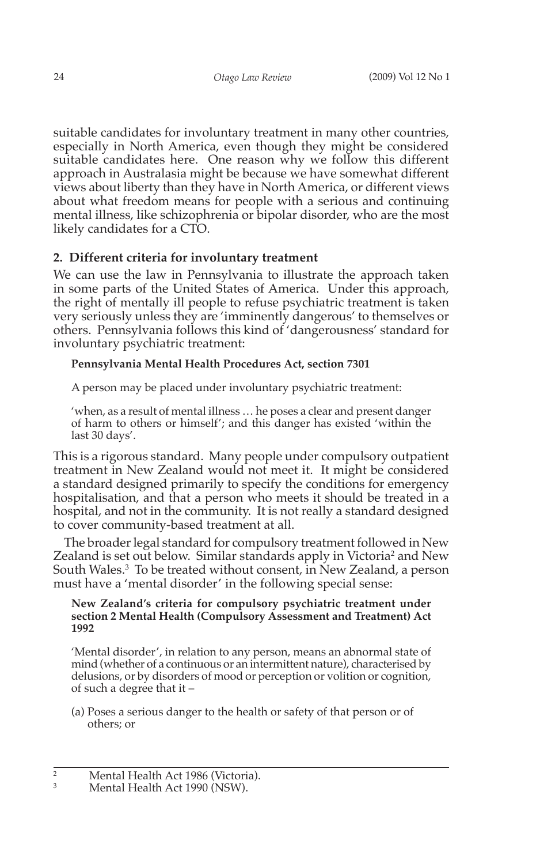suitable candidates for involuntary treatment in many other countries, especially in North America, even though they might be considered suitable candidates here. One reason why we follow this different approach in Australasia might be because we have somewhat different views about liberty than they have in North America, or different views about what freedom means for people with a serious and continuing mental illness, like schizophrenia or bipolar disorder, who are the most likely candidates for a CTO.

# **2. Different criteria for involuntary treatment**

We can use the law in Pennsylvania to illustrate the approach taken in some parts of the United States of America. Under this approach, the right of mentally ill people to refuse psychiatric treatment is taken very seriously unless they are 'imminently dangerous' to themselves or others. Pennsylvania follows this kind of 'dangerousness' standard for involuntary psychiatric treatment:

# **Pennsylvania Mental Health Procedures Act, section 7301**

A person may be placed under involuntary psychiatric treatment:

'when, as a result of mental illness … he poses a clear and present danger of harm to others or himself'; and this danger has existed 'within the last 30 days'.

This is a rigorous standard. Many people under compulsory outpatient treatment in New Zealand would not meet it. It might be considered a standard designed primarily to specify the conditions for emergency hospitalisation, and that a person who meets it should be treated in a hospital, and not in the community. It is not really a standard designed to cover community-based treatment at all.

The broader legal standard for compulsory treatment followed in New Zealand is set out below. Similar standards apply in Victoria<sup>2</sup> and New South Wales.3 To be treated without consent, in New Zealand, a person must have a 'mental disorder' in the following special sense:

#### **New Zealand's criteria for compulsory psychiatric treatment under section 2 Mental Health (Compulsory Assessment and Treatment) Act 1992**

'Mental disorder', in relation to any person, means an abnormal state of mind (whether of a continuous or an intermittent nature), characterised by delusions, or by disorders of mood or perception or volition or cognition, of such a degree that it –

(a) Poses a serious danger to the health or safety of that person or of others; or

<sup>&</sup>lt;sup>2</sup> Mental Health Act 1986 (Victoria).

Mental Health Act 1990 (NSW).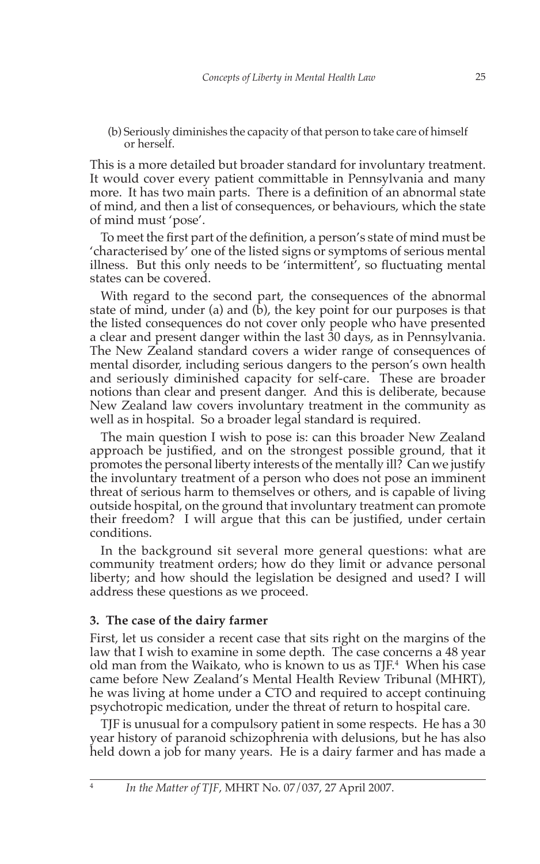(b) Seriously diminishes the capacity of that person to take care of himself or herself.

This is a more detailed but broader standard for involuntary treatment. It would cover every patient committable in Pennsylvania and many more. It has two main parts. There is a definition of an abnormal state of mind, and then a list of consequences, or behaviours, which the state of mind must 'pose'.

To meet the first part of the definition, a person's state of mind must be 'characterised by' one of the listed signs or symptoms of serious mental illness. But this only needs to be 'intermittent', so fluctuating mental states can be covered.

With regard to the second part, the consequences of the abnormal state of mind, under (a) and ( $\dot{b}$ ), the key point for our purposes is that the listed consequences do not cover only people who have presented a clear and present danger within the last 30 days, as in Pennsylvania. The New Zealand standard covers a wider range of consequences of mental disorder, including serious dangers to the person's own health and seriously diminished capacity for self-care. These are broader notions than clear and present danger. And this is deliberate, because New Zealand law covers involuntary treatment in the community as well as in hospital. So a broader legal standard is required.

The main question I wish to pose is: can this broader New Zealand approach be justified, and on the strongest possible ground, that it promotes the personal liberty interests of the mentally ill? Can we justify the involuntary treatment of a person who does not pose an imminent threat of serious harm to themselves or others, and is capable of living outside hospital, on the ground that involuntary treatment can promote their freedom? I will argue that this can be justified, under certain conditions.

In the background sit several more general questions: what are community treatment orders; how do they limit or advance personal liberty; and how should the legislation be designed and used? I will address these questions as we proceed.

# **3. The case of the dairy farmer**

First, let us consider a recent case that sits right on the margins of the law that I wish to examine in some depth. The case concerns a 48 year old man from the Waikato, who is known to us as TJF.4 When his case came before New Zealand's Mental Health Review Tribunal (MHRT), he was living at home under a CTO and required to accept continuing psychotropic medication, under the threat of return to hospital care.

TJF is unusual for a compulsory patient in some respects. He has a 30 year history of paranoid schizophrenia with delusions, but he has also held down a job for many years. He is a dairy farmer and has made a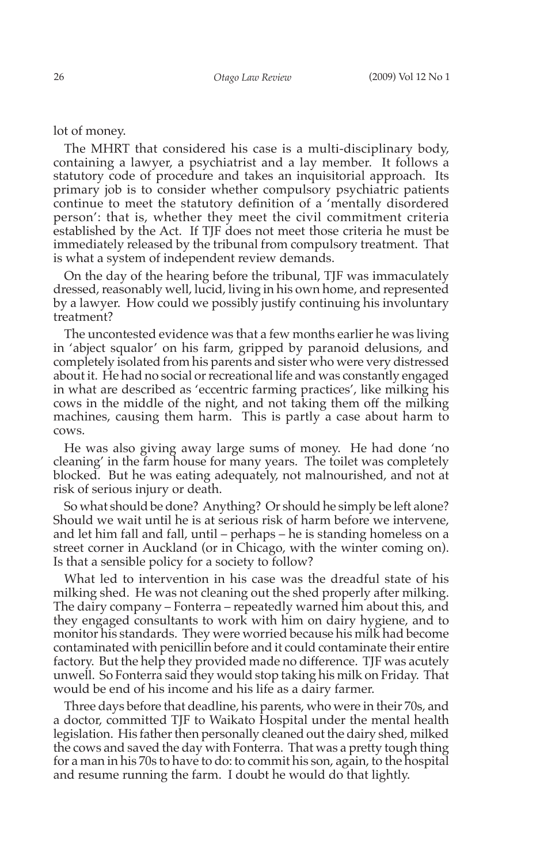lot of money.

The MHRT that considered his case is a multi-disciplinary body, containing a lawyer, a psychiatrist and a lay member. It follows a statutory code of procedure and takes an inquisitorial approach. Its primary job is to consider whether compulsory psychiatric patients continue to meet the statutory definition of a 'mentally disordered person': that is, whether they meet the civil commitment criteria established by the Act. If TJF does not meet those criteria he must be immediately released by the tribunal from compulsory treatment. That is what a system of independent review demands.

On the day of the hearing before the tribunal, TJF was immaculately dressed, reasonably well, lucid, living in his own home, and represented by a lawyer. How could we possibly justify continuing his involuntary treatment?

The uncontested evidence was that a few months earlier he was living in 'abject squalor' on his farm, gripped by paranoid delusions, and completely isolated from his parents and sister who were very distressed about it. He had no social or recreational life and was constantly engaged in what are described as 'eccentric farming practices', like milking his cows in the middle of the night, and not taking them off the milking machines, causing them harm. This is partly a case about harm to cows.

He was also giving away large sums of money. He had done 'no cleaning' in the farm house for many years. The toilet was completely blocked. But he was eating adequately, not malnourished, and not at risk of serious injury or death.

So what should be done? Anything? Or should he simply be left alone? Should we wait until he is at serious risk of harm before we intervene, and let him fall and fall, until – perhaps – he is standing homeless on a street corner in Auckland (or in Chicago, with the winter coming on). Is that a sensible policy for a society to follow?

What led to intervention in his case was the dreadful state of his milking shed. He was not cleaning out the shed properly after milking. The dairy company – Fonterra – repeatedly warned him about this, and they engaged consultants to work with him on dairy hygiene, and to monitor his standards. They were worried because his milk had become contaminated with penicillin before and it could contaminate their entire factory. But the help they provided made no difference. TJF was acutely unwell. So Fonterra said they would stop taking his milk on Friday. That would be end of his income and his life as a dairy farmer.

Three days before that deadline, his parents, who were in their 70s, and a doctor, committed TJF to Waikato Hospital under the mental health legislation. His father then personally cleaned out the dairy shed, milked the cows and saved the day with Fonterra. That was a pretty tough thing for a man in his 70s to have to do: to commit his son, again, to the hospital and resume running the farm. I doubt he would do that lightly.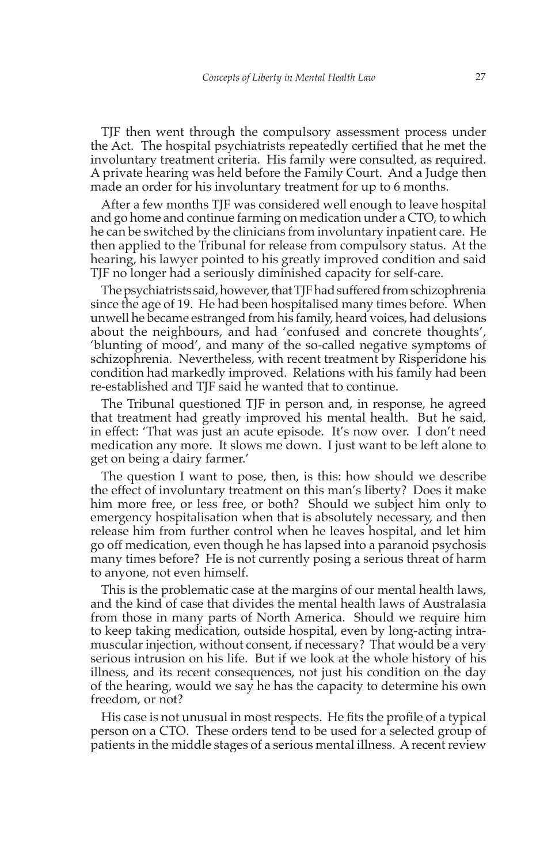TJF then went through the compulsory assessment process under the Act. The hospital psychiatrists repeatedly certified that he met the involuntary treatment criteria. His family were consulted, as required. A private hearing was held before the Family Court. And a Judge then made an order for his involuntary treatment for up to 6 months.

After a few months TJF was considered well enough to leave hospital and go home and continue farming on medication under a CTO, to which he can be switched by the clinicians from involuntary inpatient care. He then applied to the Tribunal for release from compulsory status. At the hearing, his lawyer pointed to his greatly improved condition and said TJF no longer had a seriously diminished capacity for self-care.

The psychiatrists said, however, that TJF had suffered from schizophrenia since the age of 19. He had been hospitalised many times before. When unwell he became estranged from his family, heard voices, had delusions about the neighbours, and had 'confused and concrete thoughts', 'blunting of mood', and many of the so-called negative symptoms of schizophrenia. Nevertheless, with recent treatment by Risperidone his condition had markedly improved. Relations with his family had been re-established and TJF said he wanted that to continue.

The Tribunal questioned TJF in person and, in response, he agreed that treatment had greatly improved his mental health. But he said, in effect: 'That was just an acute episode. It's now over. I don't need medication any more. It slows me down. I just want to be left alone to get on being a dairy farmer.'

The question I want to pose, then, is this: how should we describe the effect of involuntary treatment on this man's liberty? Does it make him more free, or less free, or both? Should we subject him only to emergency hospitalisation when that is absolutely necessary, and then release him from further control when he leaves hospital, and let him go off medication, even though he has lapsed into a paranoid psychosis many times before? He is not currently posing a serious threat of harm to anyone, not even himself.

This is the problematic case at the margins of our mental health laws, and the kind of case that divides the mental health laws of Australasia from those in many parts of North America. Should we require him to keep taking medication, outside hospital, even by long-acting intramuscular injection, without consent, if necessary? That would be a very serious intrusion on his life. But if we look at the whole history of his illness, and its recent consequences, not just his condition on the day of the hearing, would we say he has the capacity to determine his own freedom, or not?

His case is not unusual in most respects. He fits the profile of a typical person on a CTO. These orders tend to be used for a selected group of patients in the middle stages of a serious mental illness. A recent review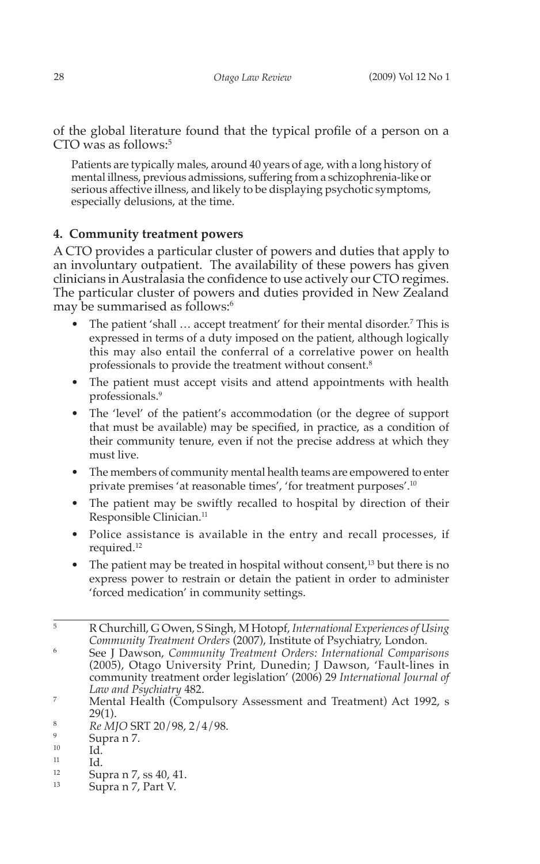of the global literature found that the typical profile of a person on a CTO was as follows:<sup>5</sup>

Patients are typically males, around 40 years of age, with a long history of mental illness, previous admissions, suffering from a schizophrenia-like or serious affective illness, and likely to be displaying psychotic symptoms, especially delusions, at the time.

# **4. Community treatment powers**

A CTO provides a particular cluster of powers and duties that apply to an involuntary outpatient. The availability of these powers has given clinicians in Australasia the confidence to use actively our CTO regimes. The particular cluster of powers and duties provided in New Zealand may be summarised as follows:<sup>6</sup>

- The patient 'shall ... accept treatment' for their mental disorder.<sup>7</sup> This is expressed in terms of a duty imposed on the patient, although logically this may also entail the conferral of a correlative power on health professionals to provide the treatment without consent.8
- The patient must accept visits and attend appointments with health professionals.9
- The 'level' of the patient's accommodation (or the degree of support that must be available) may be specified, in practice, as a condition of their community tenure, even if not the precise address at which they must live.
- The members of community mental health teams are empowered to enter private premises 'at reasonable times', 'for treatment purposes'.10
- The patient may be swiftly recalled to hospital by direction of their Responsible Clinician.<sup>11</sup>
- Police assistance is available in the entry and recall processes, if required.12 •
- The patient may be treated in hospital without consent,<sup>13</sup> but there is no express power to restrain or detain the patient in order to administer 'forced medication' in community settings.

<sup>6</sup> See J Dawson, *Community Treatment Orders: International Comparisons*  (2005), Otago University Print, Dunedin; J Dawson, 'Fault-lines in community treatment order legislation' (2006) 29 *International Journal of Law and Psychiatry* 482.

- <sup>11</sup> Id.
- $\frac{12}{13}$  Supra n 7, ss 40, 41.
- Supra n 7, Part V.

<sup>5</sup> R Churchill, G Owen, S Singh, M Hotopf, *International Experiences of Using Community Treatment Orders* (2007), Institute of Psychiatry, London.

<sup>&</sup>lt;sup>7</sup> Mental Health (Compulsory Assessment and Treatment) Act 1992, s 29(1).

 $R_e$  *NJO* SRT 20/98, 2/4/98.

 $\frac{9}{10}$  Supra n 7.

 $^{10}$  Id.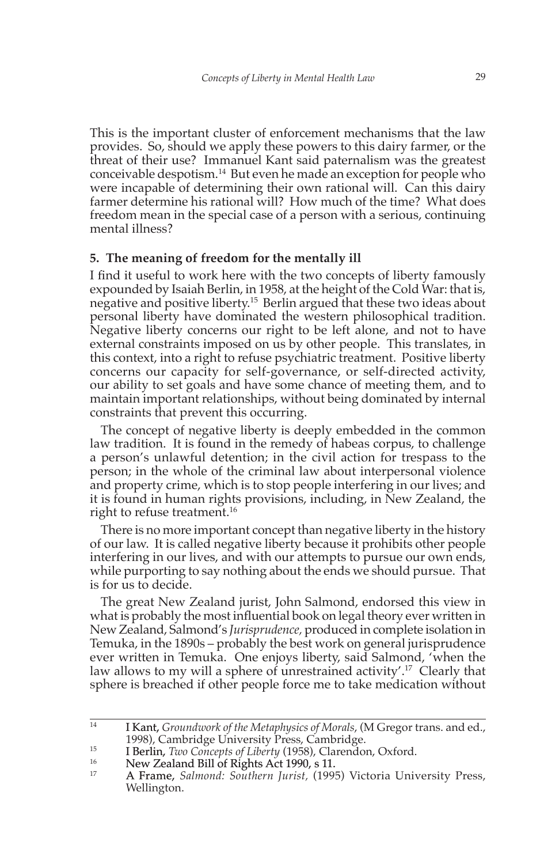This is the important cluster of enforcement mechanisms that the law provides. So, should we apply these powers to this dairy farmer, or the threat of their use? Immanuel Kant said paternalism was the greatest conceivable despotism.14 But even he made an exception for people who were incapable of determining their own rational will. Can this dairy farmer determine his rational will? How much of the time? What does freedom mean in the special case of a person with a serious, continuing mental illness?

### **5. The meaning of freedom for the mentally ill**

I find it useful to work here with the two concepts of liberty famously expounded by Isaiah Berlin, in 1958, at the height of the Cold War: that is, negative and positive liberty.15 Berlin argued that these two ideas about personal liberty have dominated the western philosophical tradition. Negative liberty concerns our right to be left alone, and not to have external constraints imposed on us by other people. This translates, in this context, into a right to refuse psychiatric treatment. Positive liberty concerns our capacity for self-governance, or self-directed activity, our ability to set goals and have some chance of meeting them, and to maintain important relationships, without being dominated by internal constraints that prevent this occurring.

The concept of negative liberty is deeply embedded in the common law tradition. It is found in the remedy of habeas corpus, to challenge a person's unlawful detention; in the civil action for trespass to the person; in the whole of the criminal law about interpersonal violence and property crime, which is to stop people interfering in our lives; and it is found in human rights provisions, including, in New Zealand, the right to refuse treatment.<sup>16</sup>

There is no more important concept than negative liberty in the history of our law. It is called negative liberty because it prohibits other people interfering in our lives, and with our attempts to pursue our own ends, while purporting to say nothing about the ends we should pursue. That is for us to decide.

The great New Zealand jurist, John Salmond, endorsed this view in what is probably the most influential book on legal theory ever written in New Zealand, Salmond's *Jurisprudence,* produced in complete isolation in Temuka, in the 1890s – probably the best work on general jurisprudence ever written in Temuka. One enjoys liberty, said Salmond, 'when the law allows to my will a sphere of unrestrained activity'.<sup>17</sup> Clearly that sphere is breached if other people force me to take medication without

<sup>&</sup>lt;sup>14</sup> I Kant, *Groundwork of the Metaphysics of Morals*, (M Gregor trans. and ed., 1998), Cambridge University Press, Cambridge.

<sup>15</sup> **I Berlin,** *Two Concepts of Liberty* (1958), Clarendon, Oxford.<br>
New Zealand Bill of Rights Act 1990, s 11.<br>
A Frame, Salmond: Southern *Jurist*, (1995) Victoria Unix

<sup>17</sup> A Frame, *Salmond: Southern Jurist,* (1995) Victoria University Press, Wellington.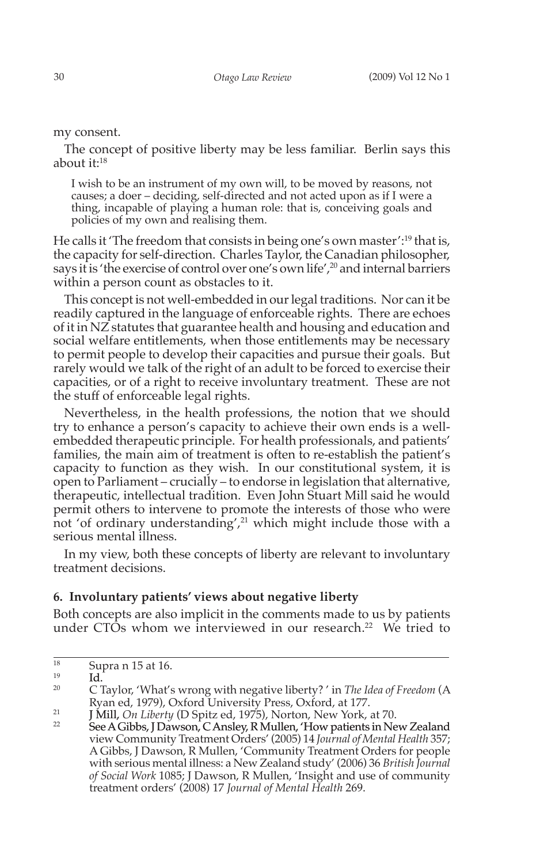my consent.

The concept of positive liberty may be less familiar. Berlin says this about it:18

I wish to be an instrument of my own will, to be moved by reasons, not causes; a doer – deciding, self-directed and not acted upon as if I were a thing, incapable of playing a human role: that is, conceiving goals and policies of my own and realising them.

He calls it 'The freedom that consists in being one's own master':<sup>19</sup> that is, the capacity for self-direction. Charles Taylor, the Canadian philosopher, says it is 'the exercise of control over one's own life',<sup>20</sup> and internal barriers within a person count as obstacles to it.

This concept is not well-embedded in our legal traditions. Nor can it be readily captured in the language of enforceable rights. There are echoes of it in NZ statutes that guarantee health and housing and education and social welfare entitlements, when those entitlements may be necessary to permit people to develop their capacities and pursue their goals. But rarely would we talk of the right of an adult to be forced to exercise their capacities, or of a right to receive involuntary treatment. These are not the stuff of enforceable legal rights.

Nevertheless, in the health professions, the notion that we should try to enhance a person's capacity to achieve their own ends is a wellembedded therapeutic principle. For health professionals, and patients' families, the main aim of treatment is often to re-establish the patient's capacity to function as they wish. In our constitutional system, it is open to Parliament – crucially – to endorse in legislation that alternative, therapeutic, intellectual tradition. Even John Stuart Mill said he would permit others to intervene to promote the interests of those who were not 'of ordinary understanding', $21$  which might include those with a serious mental illness.

In my view, both these concepts of liberty are relevant to involuntary treatment decisions.

### **6. Involuntary patients' views about negative liberty**

Both concepts are also implicit in the comments made to us by patients under CTOs whom we interviewed in our research.<sup>22</sup> We tried to

 $\frac{18}{19}$  Supra n 15 at 16.

 $^{19}$  Id.

<sup>20</sup> C Taylor, 'What's wrong with negative liberty? ' in *The Idea of Freedom* (A Ryan ed, 1979), Oxford University Press, Oxford, at 177.

<sup>21</sup> J Mill, *On Liberty* (D Spitz ed, 1975), Norton, New York, at 70.

See A Gibbs, J Dawson, C Ansley, R Mullen, 'How patients in New Zealand view Community Treatment Orders' (2005) 14 *Journal of Mental Health* 357; A Gibbs, J Dawson, R Mullen, 'Community Treatment Orders for people with serious mental illness: a New Zealand study' (2006) 36 *British Journal of Social Work* 1085; J Dawson, R Mullen, 'Insight and use of community treatment orders' (2008) 17 *Journal of Mental Health* 269.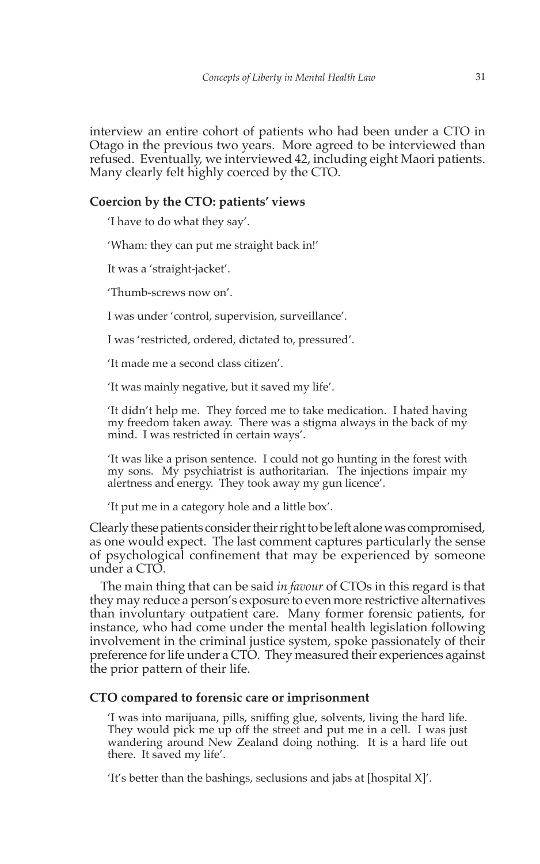interview an entire cohort of patients who had been under a CTO in Otago in the previous two years. More agreed to be interviewed than refused. Eventually, we interviewed 42, including eight Maori patients. Many clearly felt highly coerced by the CTO.

# **Coercion by the CTO: patients' views**

'I have to do what they say'.

'Wham: they can put me straight back in!'

It was a 'straight-jacket'.

'Thumb-screws now on'.

I was under 'control, supervision, surveillance'.

I was 'restricted, ordered, dictated to, pressured'.

'It made me a second class citizen'.

'It was mainly negative, but it saved my life'.

'It didn't help me. They forced me to take medication. I hated having my freedom taken away. There was a stigma always in the back of my mind. I was restricted in certain ways'.

'It was like a prison sentence. I could not go hunting in the forest with my sons. My psychiatrist is authoritarian. The injections impair my alertness and energy. They took away my gun licence'.

'It put me in a category hole and a little box'.

Clearly these patients consider their right to be left alone was compromised, as one would expect. The last comment captures particularly the sense of psychological confinement that may be experienced by someone under a CTO.

The main thing that can be said *in favour* of CTOs in this regard is that they may reduce a person's exposure to even more restrictive alternatives than involuntary outpatient care. Many former forensic patients, for instance, who had come under the mental health legislation following involvement in the criminal justice system, spoke passionately of their preference for life under a CTO. They measured their experiences against the prior pattern of their life.

# **CTO compared to forensic care or imprisonment**

'I was into marijuana, pills, sniffing glue, solvents, living the hard life. They would pick me up off the street and put me in a cell. I was just wandering around New Zealand doing nothing. It is a hard life out there. It saved my life'.

'It's better than the bashings, seclusions and jabs at [hospital X]'.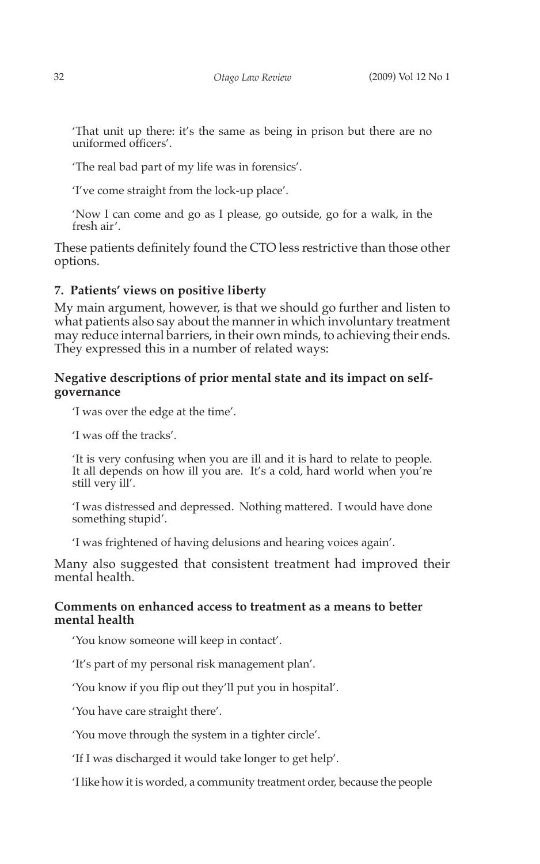'That unit up there: it's the same as being in prison but there are no uniformed officers'.

'The real bad part of my life was in forensics'.

'I've come straight from the lock-up place'.

'Now I can come and go as I please, go outside, go for a walk, in the fresh air'.

These patients definitely found the CTO less restrictive than those other options.

#### **7. Patients' views on positive liberty**

My main argument, however, is that we should go further and listen to what patients also say about the manner in which involuntary treatment may reduce internal barriers, in their own minds, to achieving their ends. They expressed this in a number of related ways:

# **Negative descriptions of prior mental state and its impact on selfgovernance**

'I was over the edge at the time'.

'I was off the tracks'.

'It is very confusing when you are ill and it is hard to relate to people. It all depends on how ill you are. It's a cold, hard world when you're still very ill'.

'I was distressed and depressed. Nothing mattered. I would have done something stupid'.

'I was frightened of having delusions and hearing voices again'.

Many also suggested that consistent treatment had improved their mental health

## **Comments on enhanced access to treatment as a means to better mental health**

'You know someone will keep in contact'.

'It's part of my personal risk management plan'.

'You know if you flip out they'll put you in hospital'.

'You have care straight there'.

'You move through the system in a tighter circle'.

'If I was discharged it would take longer to get help'.

'I like how it is worded, a community treatment order, because the people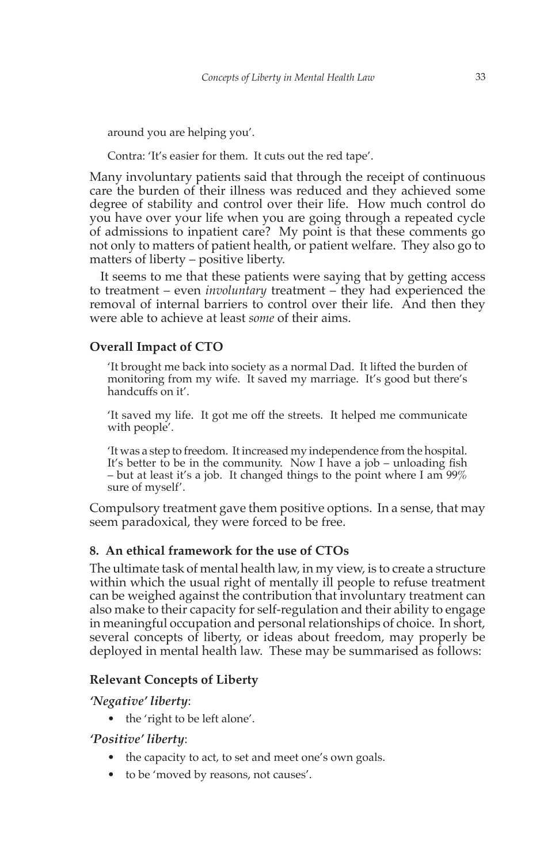around you are helping you'.

Contra: 'It's easier for them. It cuts out the red tape'.

Many involuntary patients said that through the receipt of continuous care the burden of their illness was reduced and they achieved some degree of stability and control over their life. How much control do you have over your life when you are going through a repeated cycle of admissions to inpatient care? My point is that these comments go not only to matters of patient health, or patient welfare. They also go to matters of liberty – positive liberty.

It seems to me that these patients were saying that by getting access to treatment – even *involuntary* treatment – they had experienced the removal of internal barriers to control over their life. And then they were able to achieve at least *some* of their aims.

# **Overall Impact of CTO**

'It brought me back into society as a normal Dad. It lifted the burden of monitoring from my wife. It saved my marriage. It's good but there's handcuffs on it'.

'It saved my life. It got me off the streets. It helped me communicate with people'.

'It was a step to freedom. It increased my independence from the hospital. It's better to be in the community. Now I have a job – unloading fish – but at least it's a job. It changed things to the point where I am  $99\%$ sure of myself'.

Compulsory treatment gave them positive options. In a sense, that may seem paradoxical, they were forced to be free.

# **8. An ethical framework for the use of CTOs**

The ultimate task of mental health law, in my view, is to create a structure within which the usual right of mentally ill people to refuse treatment can be weighed against the contribution that involuntary treatment can also make to their capacity for self-regulation and their ability to engage in meaningful occupation and personal relationships of choice. In short, several concepts of liberty, or ideas about freedom, may properly be deployed in mental health law. These may be summarised as follows:

#### **Relevant Concepts of Liberty**

*'Negative' liberty*:

• the 'right to be left alone'.

# *'Positive' liberty*:

- the capacity to act, to set and meet one's own goals.
- to be 'moved by reasons, not causes'.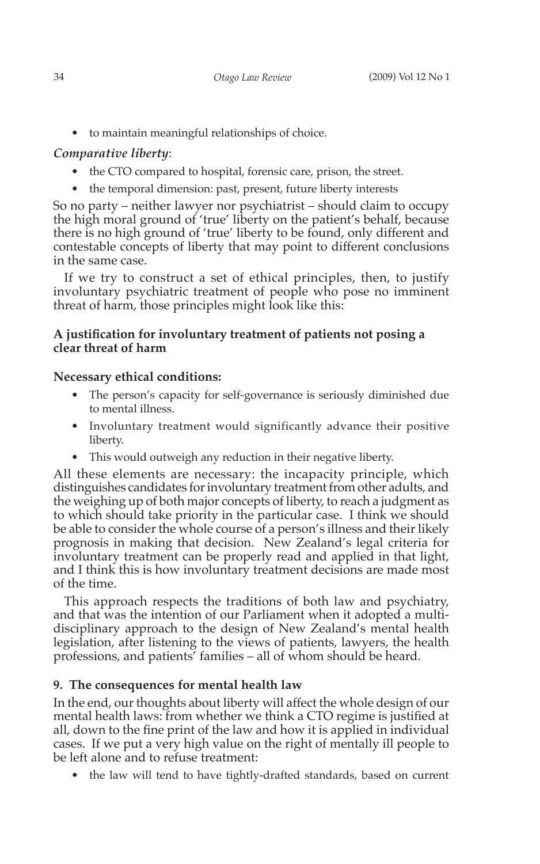• to maintain meaningful relationships of choice.

# *Comparative liberty*:

- the CTO compared to hospital, forensic care, prison, the street.
- the temporal dimension: past, present, future liberty interests

So no party – neither lawyer nor psychiatrist – should claim to occupy the high moral ground of 'true' liberty on the patient's behalf, because there is no high ground of 'true' liberty to be found, only different and contestable concepts of liberty that may point to different conclusions in the same case.

If we try to construct a set of ethical principles, then, to justify involuntary psychiatric treatment of people who pose no imminent threat of harm, those principles might look like this:

# **A justification for involuntary treatment of patients not posing a clear threat of harm**

# **Necessary ethical conditions:**

- The person's capacity for self-governance is seriously diminished due to mental illness.
- Involuntary treatment would significantly advance their positive liberty.
- This would outweigh any reduction in their negative liberty. •

All these elements are necessary: the incapacity principle, which distinguishes candidates for involuntary treatment from other adults, and the weighing up of both major concepts of liberty, to reach a judgment as to which should take priority in the particular case. I think we should be able to consider the whole course of a person's illness and their likely prognosis in making that decision. New Zealand's legal criteria for involuntary treatment can be properly read and applied in that light, and I think this is how involuntary treatment decisions are made most of the time.

This approach respects the traditions of both law and psychiatry, and that was the intention of our Parliament when it adopted a multidisciplinary approach to the design of New Zealand's mental health legislation, after listening to the views of patients, lawyers, the health professions, and patients' families – all of whom should be heard.

# **9. The consequences for mental health law**

In the end, our thoughts about liberty will affect the whole design of our mental health laws: from whether we think a CTO regime is justified at all, down to the fine print of the law and how it is applied in individual cases. If we put a very high value on the right of mentally ill people to be left alone and to refuse treatment:

• the law will tend to have tightly-drafted standards, based on current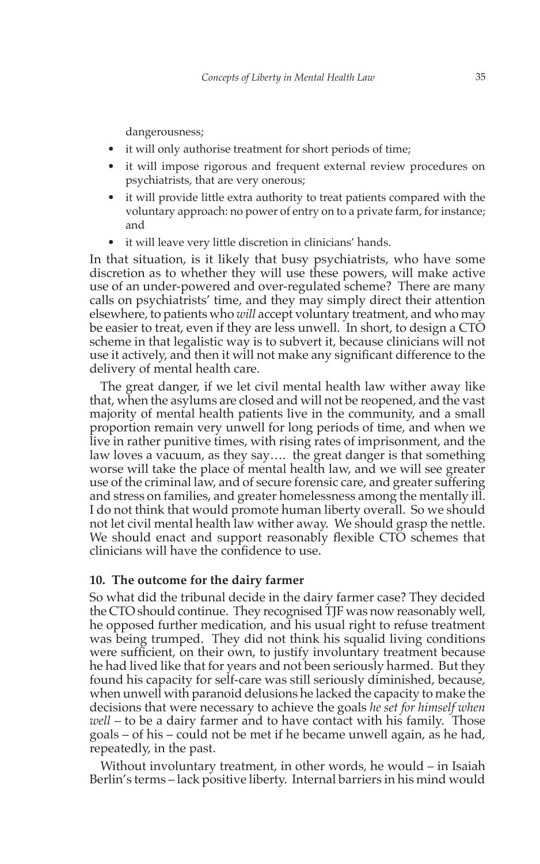dangerousness;

- it will only authorise treatment for short periods of time;
- it will impose rigorous and frequent external review procedures on psychiatrists, that are very onerous; •
- it will provide little extra authority to treat patients compared with the voluntary approach: no power of entry on to a private farm, for instance; and •
- it will leave very little discretion in clinicians' hands. •

In that situation, is it likely that busy psychiatrists, who have some discretion as to whether they will use these powers, will make active use of an under-powered and over-regulated scheme? There are many calls on psychiatrists' time, and they may simply direct their attention elsewhere, to patients who *will* accept voluntary treatment, and who may be easier to treat, even if they are less unwell. In short, to design a CTO scheme in that legalistic way is to subvert it, because clinicians will not use it actively, and then it will not make any significant difference to the delivery of mental health care.

The great danger, if we let civil mental health law wither away like that, when the asylums are closed and will not be reopened, and the vast majority of mental health patients live in the community, and a small proportion remain very unwell for long periods of time, and when we live in rather punitive times, with rising rates of imprisonment, and the law loves a vacuum, as they say…. the great danger is that something worse will take the place of mental health law, and we will see greater use of the criminal law, and of secure forensic care, and greater suffering and stress on families, and greater homelessness among the mentally ill. I do not think that would promote human liberty overall. So we should not let civil mental health law wither away. We should grasp the nettle. We should enact and support reasonably flexible CTO schemes that clinicians will have the confidence to use.

# **10. The outcome for the dairy farmer**

So what did the tribunal decide in the dairy farmer case? They decided the CTO should continue. They recognised TJF was now reasonably well, he opposed further medication, and his usual right to refuse treatment was being trumped. They did not think his squalid living conditions were sufficient, on their own, to justify involuntary treatment because he had lived like that for years and not been seriously harmed. But they found his capacity for self-care was still seriously diminished, because, when unwell with paranoid delusions he lacked the capacity to make the decisions that were necessary to achieve the goals *he set for himself when well* – to be a dairy farmer and to have contact with his family. Those goals – of his – could not be met if he became unwell again, as he had, repeatedly, in the past.

Without involuntary treatment, in other words, he would – in Isaiah Berlin's terms – lack positive liberty. Internal barriers in his mind would